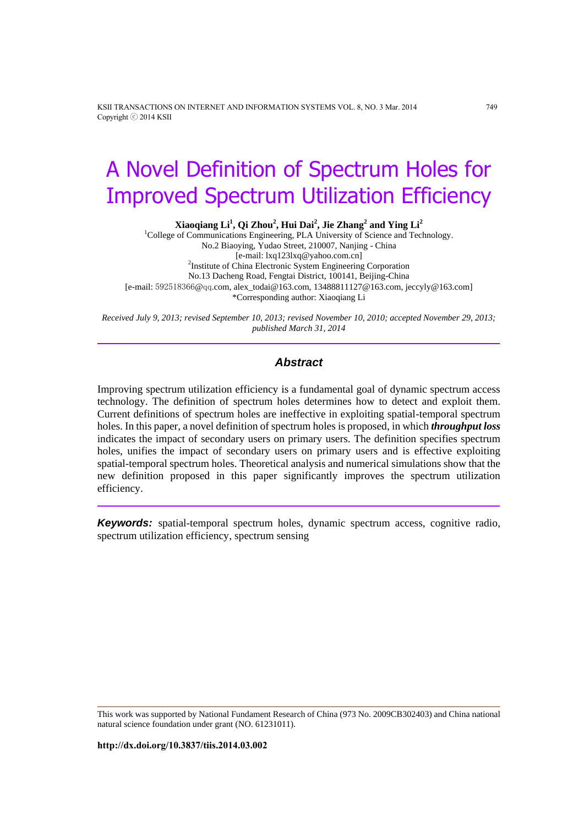KSII TRANSACTIONS ON INTERNET AND INFORMATION SYSTEMS VOL. 8, NO. 3 Mar. 2014 749 Copyright ⓒ 2014 KSII

# A Novel Definition of Spectrum Holes for Improved Spectrum Utilization Efficiency

**Xiaoqiang Li<sup>1</sup> , Qi Zhou<sup>2</sup> , Hui Dai<sup>2</sup> , Jie Zhang<sup>2</sup> and Ying Li<sup>2</sup>**

<sup>1</sup>College of Communications Engineering, PLA University of Science and Technology. No.2 Biaoying, Yudao Street, 210007, Nanjing - China [e-mail: lxq123lxq@yahoo.com.cn] <sup>2</sup>Institute of China Electronic System Engineering Corporation No.13 Dacheng Road, Fengtai District, 100141, Beijing-China [e-mail: [592518366](mailto:592518366@qq.com)@qq.com[, alex\\_todai@163.com,](mailto:alex_todai@163.com) [13488811127@163.com,](mailto:13488811127@163.com) jeccyly@163.com] \*Corresponding author: Xiaoqiang Li

*Received July 9, 2013; revised September 10, 2013; revised November 10, 2010; accepted November 29, 2013; published March 31, 2014*

# *Abstract*

Improving spectrum utilization efficiency is a fundamental goal of dynamic spectrum access technology. The definition of spectrum holes determines how to detect and exploit them. Current definitions of spectrum holes are ineffective in exploiting spatial-temporal spectrum holes. In this paper, a novel definition of spectrum holes is proposed, in which *throughput loss* indicates the impact of secondary users on primary users. The definition specifies spectrum holes, unifies the impact of secondary users on primary users and is effective exploiting spatial-temporal spectrum holes. Theoretical analysis and numerical simulations show that the new definition proposed in this paper significantly improves the spectrum utilization efficiency.

*Keywords:* spatial-temporal spectrum holes, dynamic spectrum access, cognitive radio, spectrum utilization efficiency, spectrum sensing

This work was supported by National Fundament Research of China (973 No. 2009CB302403) and China national natural science foundation under grant (NO. 61231011).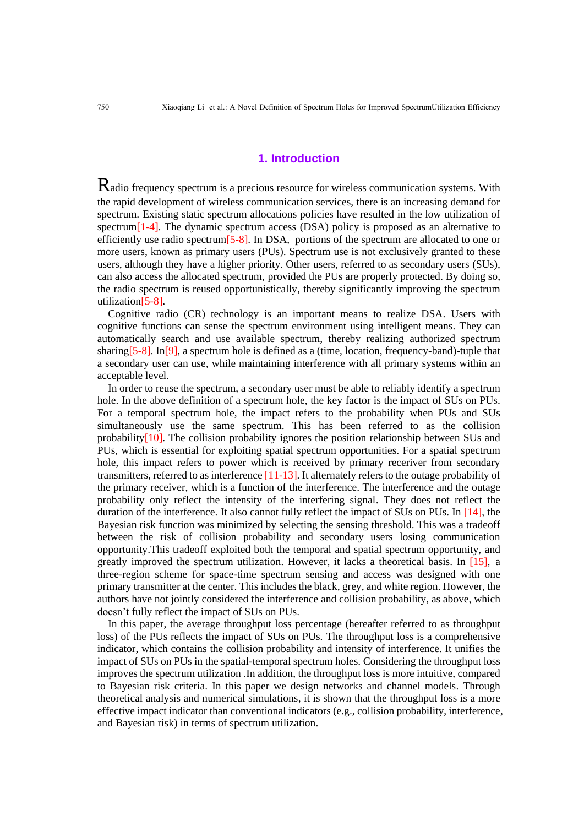### **1. Introduction**

Radio frequency spectrum is a precious resource for wireless communication systems. With the rapid development of wireless communication services, there is an increasing demand for spectrum. Existing static spectrum allocations policies have resulted in the low utilization of spectrum[1-4]. The dynamic spectrum access (DSA) policy is proposed as an alternative to efficiently use radio spectrum[5-8]. In DSA, portions of the spectrum are allocated to one or more users, known as primary users (PUs). Spectrum use is not exclusively granted to these users, although they have a higher priority. Other users, referred to as secondary users (SUs), can also access the allocated spectrum, provided the PUs are properly protected. By doing so, the radio spectrum is reused opportunistically, thereby significantly improving the spectrum utilization[5-8].

Cognitive radio (CR) technology is an important means to realize DSA. Users with cognitive functions can sense the spectrum environment using intelligent means. They can automatically search and use available spectrum, thereby realizing authorized spectrum sharing  $[5-8]$ . In [9], a spectrum hole is defined as a (time, location, frequency-band)-tuple that a secondary user can use, while maintaining interference with all primary systems within an acceptable level.

In order to reuse the spectrum, a secondary user must be able to reliably identify a spectrum hole. In the above definition of a spectrum hole, the key factor is the impact of SUs on PUs. For a temporal spectrum hole, the impact refers to the probability when PUs and SUs simultaneously use the same spectrum. This has been referred to as the collision probability[10]. The collision probability ignores the position relationship between SUs and PUs, which is essential for exploiting spatial spectrum opportunities. For a spatial spectrum hole, this impact refers to power which is received by primary receriver from secondary transmitters, referred to as interference [11-13]. It alternately refers to the outage probability of the primary receiver, which is a function of the interference. The interference and the outage probability only reflect the intensity of the interfering signal. They does not reflect the duration of the interference. It also cannot fully reflect the impact of SUs on PUs. In [14], the Bayesian risk function was minimized by selecting the sensing threshold. This was a tradeoff between the risk of collision probability and secondary users losing communication opportunity.This tradeoff exploited both the temporal and spatial spectrum opportunity, and greatly improved the spectrum utilization. However, it lacks a theoretical basis. In [15], a three-region scheme for space-time spectrum sensing and access was designed with one primary transmitter at the center. This includes the black, grey, and white region. However, the authors have not jointly considered the interference and collision probability, as above, which doesn't fully reflect the impact of SUs on PUs.

In this paper, the average throughput loss percentage (hereafter referred to as throughput loss) of the PUs reflects the impact of SUs on PUs. The throughput loss is a comprehensive indicator, which contains the collision probability and intensity of interference. It unifies the impact of SUs on PUs in the spatial-temporal spectrum holes. Considering the throughput loss improves the spectrum utilization .In addition, the throughput loss is more intuitive, compared to Bayesian risk criteria. In this paper we design networks and channel models. Through theoretical analysis and numerical simulations, it is shown that the throughput loss is a more effective impact indicator than conventional indicators (e.g., collision probability, interference, and Bayesian risk) in terms of spectrum utilization.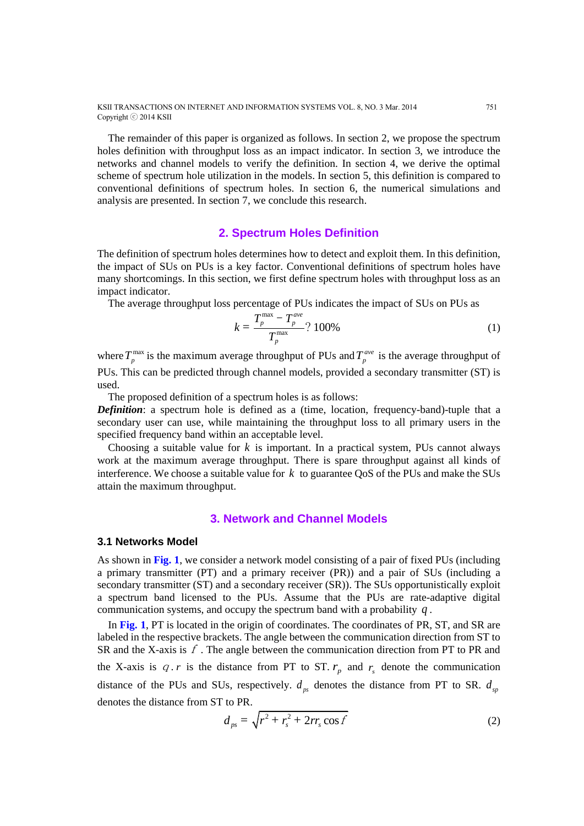KSII TRANSACTIONS ON INTERNET AND INFORMATION SYSTEMS VOL. 8, NO. 3 Mar. 2014 751 Copyright ⓒ 2014 KSII

The remainder of this paper is organized as follows. In section 2, we propose the spectrum holes definition with throughput loss as an impact indicator. In section 3, we introduce the networks and channel models to verify the definition. In section 4, we derive the optimal scheme of spectrum hole utilization in the models. In section 5, this definition is compared to conventional definitions of spectrum holes. In section 6, the numerical simulations and analysis are presented. In section 7, we conclude this research.

# **2. Spectrum Holes Definition**

The definition of spectrum holes determines how to detect and exploit them. In this definition, the impact of SUs on PUs is a key factor. Conventional definitions of spectrum holes have many shortcomings. In this section, we first define spectrum holes with throughput loss as an impact indicator.

The average throughput loss percentage of PUs indicates the impact of SUs on PUs as

$$
k = \frac{T_p^{\text{max}} - T_p^{\text{ave}}}{T_p^{\text{max}}} ? 100\%
$$
 (1)

where  $T_p^{\text{max}}$  is the maximum average throughput of PUs and  $T_p^{\text{ave}}$  is the average throughput of PUs. This can be predicted through channel models, provided a secondary transmitter (ST) is used.

The proposed definition of a spectrum holes is as follows:

*Definition*: a spectrum hole is defined as a (time, location, frequency-band)-tuple that a secondary user can use, while maintaining the throughput loss to all primary users in the specified frequency band within an acceptable level.

Choosing a suitable value for  $k$  is important. In a practical system, PUs cannot always work at the maximum average throughput. There is spare throughput against all kinds of interference. We choose a suitable value for  $k$  to guarantee QoS of the PUs and make the SUs attain the maximum throughput.

#### **3. Network and Channel Models**

#### **3.1 Networks Model**

As shown in **Fig. 1**, we consider a network model consisting of a pair of fixed PUs (including a primary transmitter (PT) and a primary receiver (PR)) and a pair of SUs (including a secondary transmitter (ST) and a secondary receiver (SR)). The SUs opportunistically exploit a spectrum band licensed to the PUs. Assume that the PUs are rate-adaptive digital communication systems, and occupy the spectrum band with a probability *q* .

In **Fig. 1**, PT is located in the origin of coordinates. The coordinates of PR, ST, and SR are labeled in the respective brackets. The angle between the communication direction from ST to SR and the X-axis is  $f$ . The angle between the communication direction from PT to PR and the X-axis is  $q \cdot r$  is the distance from PT to ST.  $r_p$  and  $r_s$  denote the communication distance of the PUs and SUs, respectively.  $d_{ps}$  denotes the distance from PT to SR.  $d_{sp}$ denotes the distance from ST to PR.

$$
d_{ps} = \sqrt{r^2 + r_s^2 + 2rr_s \cos f}
$$
 (2)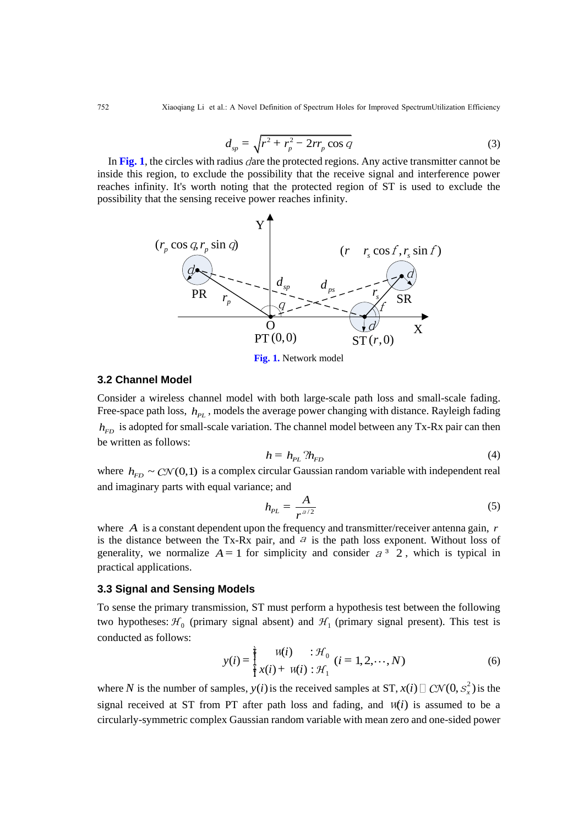752 Xiaoqiang Li et al.: A Novel Definition of Spectrum Holes for Improved SpectrumUtilization Efficiency

$$
d_{sp} = \sqrt{r^2 + r_p^2 - 2rr_p \cos q}
$$
 (3)

In Fig. 1, the circles with radius *dare the protected regions*. Any active transmitter cannot be inside this region, to exclude the possibility that the receive signal and interference power reaches infinity. It's worth noting that the protected region of ST is used to exclude the possibility that the sensing receive power reaches infinity.



**Fig. 1.** Network model

#### **3.2 Channel Model**

Consider a wireless channel model with both large-scale path loss and small-scale fading. Free-space path loss,  $h_{PL}$ , models the average power changing with distance. Rayleigh fading  $h_{FD}$  is adopted for small-scale variation. The channel model between any Tx-Rx pair can then be written as follows:

$$
h = h_{PL} \, ? h_{FD} \tag{4}
$$

where  $h_{FD} \sim \mathcal{CN}(0,1)$  is a complex circular Gaussian random variable with independent real and imaginary parts with equal variance; and

$$
h_{PL} = \frac{A}{r^{a/2}}
$$
 (5)

where *A* is a constant dependent upon the frequency and transmitter/receiver antenna gain, *r* is the distance between the Tx-Rx pair, and  $a$  is the path loss exponent. Without loss of generality, we normalize  $A = 1$  for simplicity and consider  $a^3$  2, which is typical in practical applications.

#### **3.3 Signal and Sensing Models**

To sense the primary transmission, ST must perform a hypothesis test between the following two hypotheses:  $\mathcal{H}_0$  (primary signal absent) and  $\mathcal{H}_1$  (primary signal present). This test is conducted as follows:

$$
y(i) = \frac{1}{2} \frac{w(i)}{x(i) + w(i) : \mathcal{H}_0} \ (i = 1, 2, \cdots, N)
$$
 (6)

where N is the number of samples,  $y(i)$  is the received samples at ST,  $x(i) \Box C\mathcal{N}(0, s_x^2)$  is the signal received at ST from PT after path loss and fading, and  $w(i)$  is assumed to be a circularly-symmetric complex Gaussian random variable with mean zero and one-sided power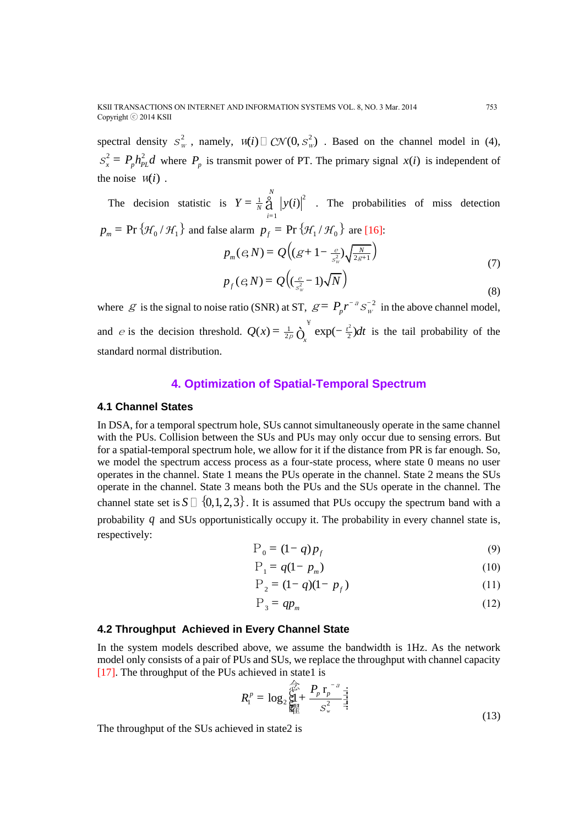spectral density  $S_w^2$ , namely,  $W(i) \square$   $CN(0, S_w^2)$ . Based on the channel model in (4),  $S_x^2 = P_p h_{PL}^2 d$  where  $P_p$  is transmit power of PT. The primary signal  $x(i)$  is independent of the noise  $W(i)$ .

The decision statistic is  $Y = \frac{1}{N} \mathop{\bigg|}^N \limits (y(i))^2$  $i=1$  $Y = \frac{1}{N} \hat{A}$   $|y(i)|^2$ . The probabilities of miss detection  $p_m$  = Pr { $\mathcal{H}_0/\mathcal{H}_1$ } and false alarm  $p_f$  = Pr { $\mathcal{H}_1/\mathcal{H}_0$ } are [16]:  $(e,N) = Q\Big((g+1-\frac{e}{s_w^2})\sqrt{\frac{N}{2g+1}}\Big)$  $p_m (e, N) = Q \Big( (g + 1 - \frac{e}{s_w^2}) \sqrt{\frac{N}{2g}}$ w (7)  $p_f (e,N) = Q((\frac{e}{s^2} - 1)\sqrt{N})$ w e  $e(N) = Q\Big(\frac{e}{s_m^2} -$ (8)

where  $g$  is the signal to noise ratio (SNR) at ST,  $g = P_p r^{-a} s_w^{-2}$  in the above channel model, and *e* is the decision threshold.  $Q(x) = \frac{1}{2p} \int_{x}^{x} exp(-\frac{t^2}{2}) dt$  $=\frac{1}{2p}\overrightarrow{O}_r^{\mathcal{F}}$  exp $\left(-\frac{t^2}{2}\right)dt$  is the tail probability of the standard normal distribution.

#### **4. Optimization of Spatial-Temporal Spectrum**

#### **4.1 Channel States**

In DSA, for a temporal spectrum hole, SUs cannot simultaneously operate in the same channel with the PUs. Collision between the SUs and PUs may only occur due to sensing errors. But for a spatial-temporal spectrum hole, we allow for it if the distance from PR is far enough. So, we model the spectrum access process as a four-state process, where state 0 means no user operates in the channel. State 1 means the PUs operate in the channel. State 2 means the SUs operate in the channel. State 3 means both the PUs and the SUs operate in the channel. The channel state set is  $S \sqcup \{0,1,2,3\}$ . It is assumed that PUs occupy the spectrum band with a probability q and SUs opportunistically occupy it. The probability in every channel state is, respectively:

$$
P_0 = (1 - q)p_f \tag{9}
$$

$$
P_1 = q(1 - p_m) \tag{10}
$$

$$
P_2 = (1 - q)(1 - p_f) \tag{11}
$$

$$
P_3 = qp_m \tag{12}
$$

### **4.2 Throughput Achieved in Every Channel State**

In the system models described above, we assume the bandwidth is 1Hz. As the network model only consists of a pair of PUs and SUs, we replace the throughput with channel capacity [17]. The throughput of the PUs achieved in state1 is

$$
R_{1}^{p} = \log_{2} \bigg\{ \prod_{i=1}^{p} + \frac{P_{p} r_{p}^{-a}}{S_{w}^{2}} \bigg\} \frac{1}{2}
$$
\n(13)

The throughput of the SUs achieved in state2 is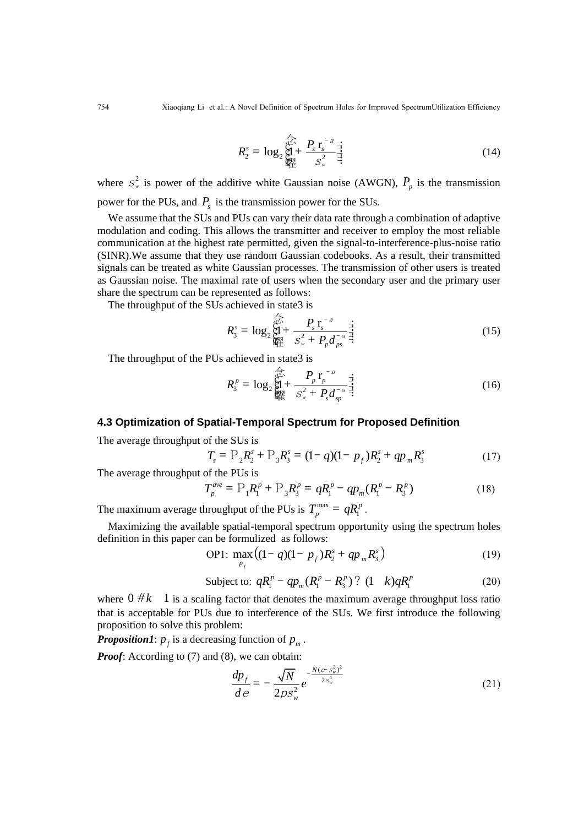$$
R_2^s = \log_2 \bigg\{ \sum_{k=1}^{\frac{\sqrt{2\lambda}}{\sqrt{2\lambda}}} + \frac{P_s \, \mathbf{r}_s^{-a}}{S_w^2} \, \frac{1}{\frac{1}{\cdot} \cdot \mathbf{r}} \bigg\} \tag{14}
$$

where  $S^2_w$  is power of the additive white Gaussian noise (AWGN),  $P_p$  is the transmission power for the PUs, and  $P_s$  is the transmission power for the SUs.

We assume that the SUs and PUs can vary their data rate through a combination of adaptive modulation and coding. This allows the transmitter and receiver to employ the most reliable communication at the highest rate permitted, given the signal-to-interference-plus-noise ratio (SINR).We assume that they use random Gaussian codebooks. As a result, their transmitted signals can be treated as white Gaussian processes. The transmission of other users is treated as Gaussian noise. The maximal rate of users when the secondary user and the primary user share the spectrum can be represented as follows:

The throughput of the SUs achieved in state3 is

3 2 <sup>2</sup> r log 1 *w <sup>s</sup> s s p ps P R P d* a a s - - = + 念ç ç ç ç曜 + ÷÷÷÷÷ (15)

The throughput of the PUs achieved in state3 is

$$
R_3^p = \log_2 \bigg\{ \sum_{k=1}^{m} + \frac{P_p \, r_p^{-a}}{S_w^2 + P_s d_{sp}^{-a}} \bigg\} \bigg\}
$$
 (16)

#### **4.3 Optimization of Spatial-Temporal Spectrum for Proposed Definition**

The average throughput of the SUs is

of the SUs is  
\n
$$
T_s = P_2 R_2^s + P_3 R_3^s = (1 - q)(1 - p_f)R_2^s + qp_m R_3^s
$$
\n(17)

The average throughput of the PUs is

of the PUs is  
\n
$$
T_p^{ave} = P_1 R_1^p + P_3 R_3^p = q R_1^p - q p_m (R_1^p - R_3^p)
$$
\n(18)

The maximum average throughput of the PUs is  $T_n^{\max}$ 1  $T_p^{\max} = qR_1^p$ .

Maximizing the available spatial-temporal spectrum opportunity using the spectrum holes

definition in this paper can be formulated as follows:  
OP1: 
$$
\max_{p_f} ((1 - q)(1 - p_f)R_2^s + qp_m R_3^s)
$$
(19)

$$
P_f
$$
\nSubject to:  $qR_1^p - qp_m(R_1^p - R_3^p)$ ? (1  $k)qR_1^p$  (20)

where  $0 \# k$  1 is a scaling factor that denotes the maximum average throughput loss ratio that is acceptable for PUs due to interference of the SUs. We first introduce the following proposition to solve this problem:

**Proposition1**:  $p_f$  is a decreasing function of  $p_m$ .

*Proof:* According to (7) and (8), we can obtain:

$$
\frac{dp_f}{de} = -\frac{\sqrt{N}}{2ps_w^2}e^{-\frac{N(e-s_w^2)^2}{2s_w^4}}
$$
(21)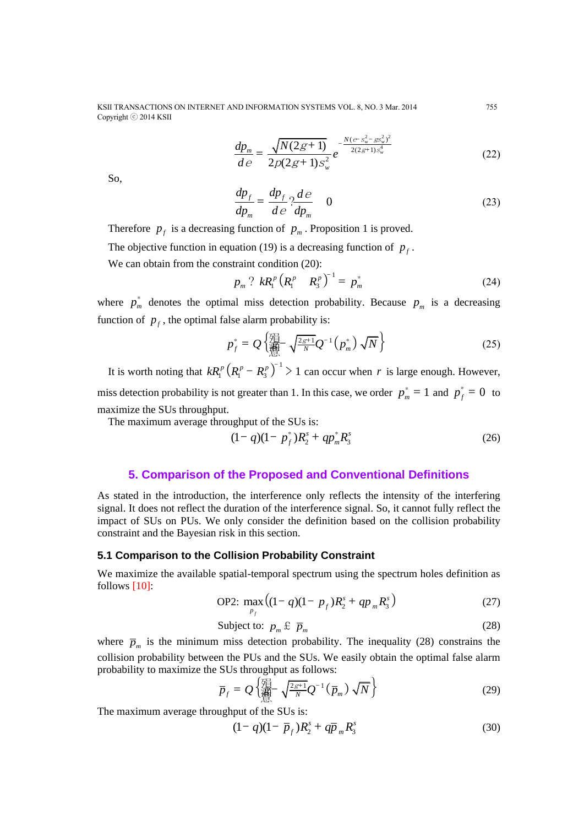KSII TRANSACTIONS ON INTERNET AND INFORMATION SYSTEMS VOL. 8, NO. 3 Mar. 2014 755 Copyright ⓒ 2014 KSII

$$
\frac{dp_m}{de} = \frac{\sqrt{N(2g+1)}}{2p(2g+1)s_w^2}e^{-\frac{N(e-s_w^2 - gs_w^2)^2}{2(2g+1)s_w^4}}
$$
(22)

So,

$$
\frac{dp_f}{dp_m} = \frac{dp_f}{de} \cdot \frac{de}{dp_m} \quad 0 \tag{23}
$$

Therefore  $p_f$  is a decreasing function of  $p_m$ . Proposition 1 is proved.

The objective function in equation (19) is a [decreasing](app:ds:decreasing) [function](app:ds:function) of  $p_f$ .

We can obtain from the constraint condition  $(20)$ :

$$
p_m ? \ kR_1^p \left(R_1^p \ R_3^p\right)^{-1} = p_m^*
$$
 (24)

where  $p_m^*$  denotes the optimal miss detection probability. Because  $p_m$  is a [decreasing](app:ds:decreasing) [function](app:ds:function) of  $p_f$ , the optimal false alarm probability is:

$$
p_f^* = Q\left\{\prod_{m=1}^{T-1} \sqrt{\frac{2g+1}{N}} Q^{-1}(p_m^*) \sqrt{N}\right\}
$$
 (25)

It is worth noting that  $kR_1^p (R_1^p - R_3^p)^{-1} > 1$  can occur when *r* is large enough. However, miss detection probability is not greater than 1. In this case, we order  $p_m^* = 1$  and  $p_f^* = 0$  to maximize the SUs throughput.

The maximum average throughput of the SUs is:<br> $(1 - q)(1 - p_f^*)R_2^s + qp_m^sR_3^s$ 

(26) 
$$
(1 - q)(1 - p_f^*)R_2^* + qp_m^*R_3^s
$$

#### **5. Comparison of the Proposed and Conventional Definitions**

As stated in the introduction, the interference only reflects the intensity of the interfering signal. It does not reflect the duration of the interference signal. So, it cannot fully reflect the impact of SUs on PUs. We only consider the definition based on the collision probability constraint and the Bayesian risk in this section.

#### **5.1 Comparison to the Collision Probability Constraint**

We maximize the available spatial-temporal spectrum using the spectrum holes definition as follows [10]:

OP2: 
$$
\max_{P_f} ((1 - q)(1 - p_f)R_2^s + qp_m R_3^s)
$$
 (27)

$$
Subject to: \quad p_m \oplus \overline{p}_m \tag{28}
$$

where  $\bar{p}_m$  is the minimum miss detection probability. The inequality (28) constrains the collision probability between the PUs and the SUs. We easily obtain the optimal false alarm

probability to maximize the SUs throughout as follows:  
\n
$$
\overline{p}_f = Q \left\{ \prod_{m=1}^{\sqrt{2g+1}} \sqrt{\frac{2g+1}{N}} Q^{-1} \left( \overline{p}_m \right) \sqrt{N} \right\}
$$
\n(29)

The maximum average throughput of the SUs is:<br> $(1-q)(1-\bar{p}_f)R_2^s + q\bar{p}_mR_2^s$ 

$$
(1-q)(1-\bar{p}_f)R_2^s + q\bar{p}_m R_3^s \tag{30}
$$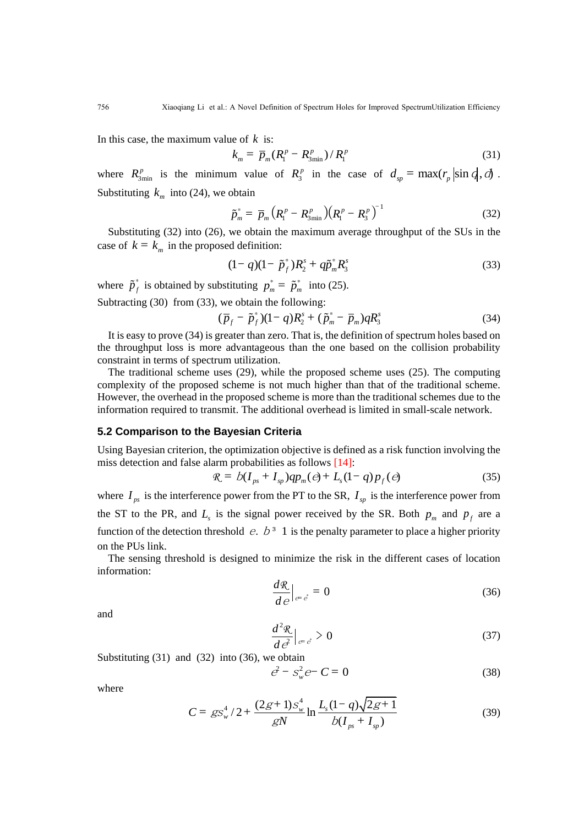In this case, the maximum value of *k* is:

$$
k_m = \bar{p}_m (R_1^p - R_{3\min}^p) / R_1^p
$$
 (31)

where  $R_{3\text{min}}^p$  is the minimum value of  $R_3^p$  in the case of  $d_{sp} = \max(r_p |\sin q|, d)$ . Substituting  $k_m$  into (24), we obtain

$$
\tilde{p}_m^* = \bar{p}_m \left( R_1^p - R_{3\min}^p \right) \left( R_1^p - R_3^p \right)^{-1} \tag{32}
$$

Substituting (32) into (26), we obtain the maximum average throughput of the SUs in the case of  $k = k_m$  in the proposed definition:

$$
(1 - q)(1 - \tilde{p}_f^*)R_2^s + q\tilde{p}_m^*R_3^s \tag{33}
$$

where  $\tilde{p}_f^*$  is obtained by substituting  $p_m^* = \tilde{p}_m^*$  into (25).

Subtracting (30) from (33), we obtain the following:  
\n
$$
(\overline{p}_f - \tilde{p}_f^*)(1 - q)R_2^s + (\tilde{p}_m^* - \overline{p}_m)qR_3^s
$$
\n(34)

It is easy to prove (34) is greater than zero. That is, the definition of spectrum holes based on the throughput loss is more advantageous than the one based on the collision probability constraint in terms of spectrum utilization.

The traditional scheme uses (29), while the proposed scheme uses (25). The computing complexity of the proposed scheme is not much higher than that of the traditional scheme. However, the overhead in the proposed scheme is more than the traditional schemes due to the information required to transmit. The additional overhead is limited in small-scale network.

#### **5.2 Comparison to the Bayesian Criteria**

Using Bayesian criterion, the optimization objective is defined as a risk function involving the miss detection and false alarm probabilities as follows [14]:<br>  $\Re = b(I_{ps} + I_{sp})qp_m(\theta) + L_s(1-q)p_f(\theta)$  (35)

$$
R = b(I_{ps} + I_{sp})qp_{m}(e) + L_{s}(1-q)p_{f}(e)
$$
\n(35)

where  $I_{ps}$  is the interference power from the PT to the SR,  $I_{sp}$  is the interference power from the ST to the PR, and  $L<sub>s</sub>$  is the signal power received by the SR. Both  $p<sub>m</sub>$  and  $p<sub>f</sub>$  are a function of the detection threshold  $e$ .  $b^3$  1 is the penalty parameter to place a higher priority on the PUs link.

The sensing threshold is designed to minimize the risk in the different cases of location information:

$$
\frac{d\mathcal{R}}{d\,e}\Big|_{e=\dot{e}} = 0\tag{36}
$$

and

$$
\frac{d^2 \mathcal{R}}{d\mathcal{e}^2}\Big|_{\mathcal{E} = \mathcal{E}} > 0\tag{37}
$$

Substituting  $(31)$  and  $(32)$  into  $(36)$ , we obtain

$$
\vec{e} - S_w^2 e^- C = 0 \tag{38}
$$

where

$$
C = g s_w^4 / 2 + \frac{(2g+1)s_w^4}{gN} \ln \frac{L_s (1-q)\sqrt{2g+1}}{b(I_{ps} + I_{sp})}
$$
(39)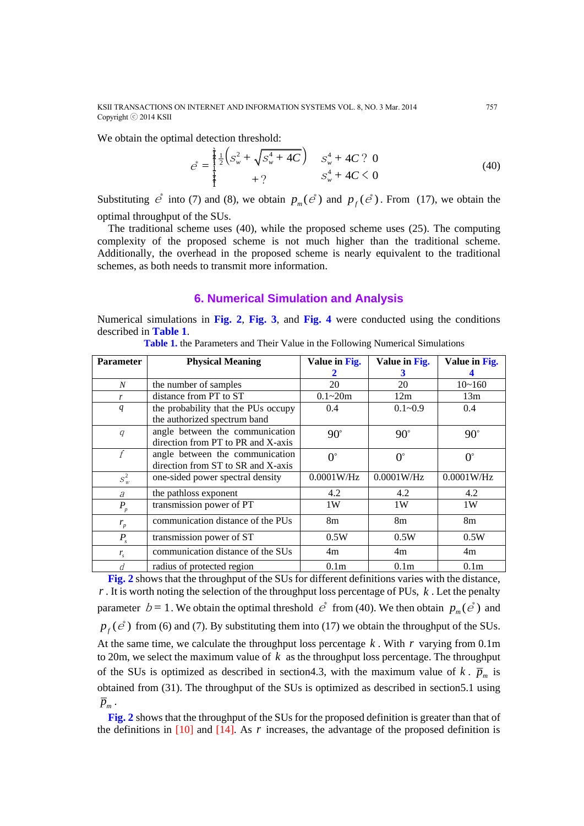KSII TRANSACTIONS ON INTERNET AND INFORMATION SYSTEMS VOL. 8, NO. 3 Mar. 2014 757 Copyright ⓒ 2014 KSII

We obtain the optimal detection threshold:  
\n
$$
e^* = \begin{cases}\n\frac{1}{2} \left( S_w^2 + \sqrt{S_w^4 + 4C} \right) & S_w^4 + 4C ? & 0 \\
\frac{1}{2} \left( S_w^2 + \sqrt{S_w^4 + 4C} \right) & S_w^4 + 4C < 0 \\
\frac{1}{2} \left( S_w^2 + \sqrt{S_w^4 + 4C} \right) & S_w^4 + 4C < 0\n\end{cases}
$$
\n(40)

Substituting  $\vec{e}$  into (7) and (8), we obtain  $p_m(\vec{e})$  and  $p_f(\vec{e})$ . From (17), we obtain the optimal throughput of the SUs.

The traditional scheme uses (40), while the proposed scheme uses (25). The computing complexity of the proposed scheme is not much higher than the traditional scheme. Additionally, the overhead in the proposed scheme is nearly equivalent to the traditional schemes, as both needs to transmit more information.

### **6. Numerical Simulation and Analysis**

Numerical simulations in **Fig. 2**, **Fig. 3**, and **Fig. 4** were conducted using the conditions described in **Table 1**.

| <b>Parameter</b>   | <b>Physical Meaning</b>             | Value in Fig.    | Value in Fig.    | Value in Fig.    |
|--------------------|-------------------------------------|------------------|------------------|------------------|
|                    |                                     |                  | 3                |                  |
| N                  | the number of samples               | 20               | 20               | $10 - 160$       |
| r                  | distance from PT to ST              | $0.1 - 20m$      | 12m              | 13m              |
| q                  | the probability that the PUs occupy | 0.4              | $0.1 - 0.9$      | 0.4              |
|                    | the authorized spectrum band        |                  |                  |                  |
| $\boldsymbol{q}$   | angle between the communication     | $90^\circ$       | $90^\circ$       | $90^\circ$       |
|                    | direction from PT to PR and X-axis  |                  |                  |                  |
| f                  | angle between the communication     | $0^{\circ}$      | $0^{\circ}$      | $0^{\circ}$      |
|                    | direction from ST to SR and X-axis  |                  |                  |                  |
| $S_w^2$            | one-sided power spectral density    | 0.0001W/Hz       | $0.0001$ W/Hz    | 0.0001W/Hz       |
| $\partial$         | the pathloss exponent               | 4.2              | 4.2              | 4.2              |
| $\boldsymbol{P_p}$ | transmission power of PT            | 1W               | 1W               | 1W               |
| $r_p$              | communication distance of the PUs   | 8m               | 8 <sub>m</sub>   | 8 <sub>m</sub>   |
| $P_{s}$            | transmission power of ST            | 0.5W             | 0.5W             | 0.5W             |
| $r_{\rm s}$        | communication distance of the SUs   | 4m               | 4m               | 4m               |
| d                  | radius of protected region          | 0.1 <sub>m</sub> | 0.1 <sub>m</sub> | 0.1 <sub>m</sub> |

**Table 1.** the Parameters and Their Value in the Following Numerical Simulations

**Fig. 2** shows that the throughput of the SUs for different definitions varies with the distance, *r* . It is worth noting the selection of the throughput loss percentage of PUs, *k* . Let the penalty parameter  $b = 1$ . We obtain the optimal threshold  $\vec{e}^*$  from (40). We then obtain  $p_m(\vec{e}^*)$  and  $p_f$  ( $\dot{e}$ ) from (6) and (7). By substituting them into (17) we obtain the throughput of the SUs. At the same time, we calculate the throughput loss percentage *k* . With *r* varying from 0.1m to 20m, we select the maximum value of *k* as the throughput loss percentage. The throughput of the SUs is optimized as described in section 4.3, with the maximum value of  $k$ .  $\bar{p}_m$  is obtained from (31). The throughput of the SUs is optimized as described in section5.1 using  $\overline{p}_m$ .

**Fig. 2** shows that the throughput of the SUs for the proposed definition is greater than that of the definitions in  $[10]$  and  $[14]$ . As  $r$  increases, the advantage of the proposed definition is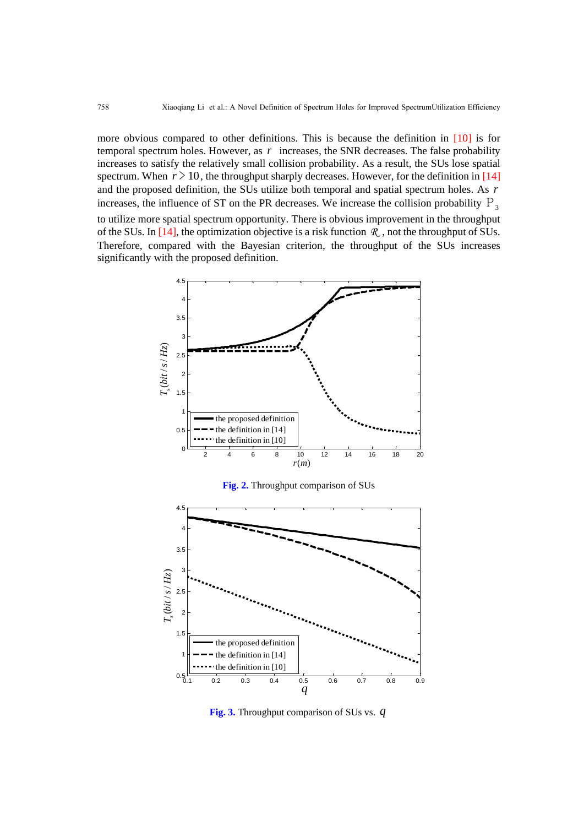more obvious compared to other definitions. This is because the definition in [10] is for temporal spectrum holes. However, as  $r$  increases, the SNR decreases. The false probability increases to satisfy the relatively small collision probability. As a result, the SUs lose spatial spectrum. When  $r > 10$ , the throughput sharply decreases. However, for the definition in [14] and the proposed definition, the SUs utilize both temporal and spatial spectrum holes. As *r* increases, the influence of ST on the PR decreases. We increase the collision probability  $P_3$ 

to utilize more spatial spectrum opportunity. There is obvious improvement in the throughput of the SUs. In  $[14]$ , the optimization objective is a risk function  $\Re$ , not the throughput of SUs. Therefore, compared with the Bayesian criterion, the throughput of the SUs increases significantly with the proposed definition.



**Fig. 2.** Throughput comparison of SUs



**Fig. 3.** Throughput comparison of SUs vs. *q*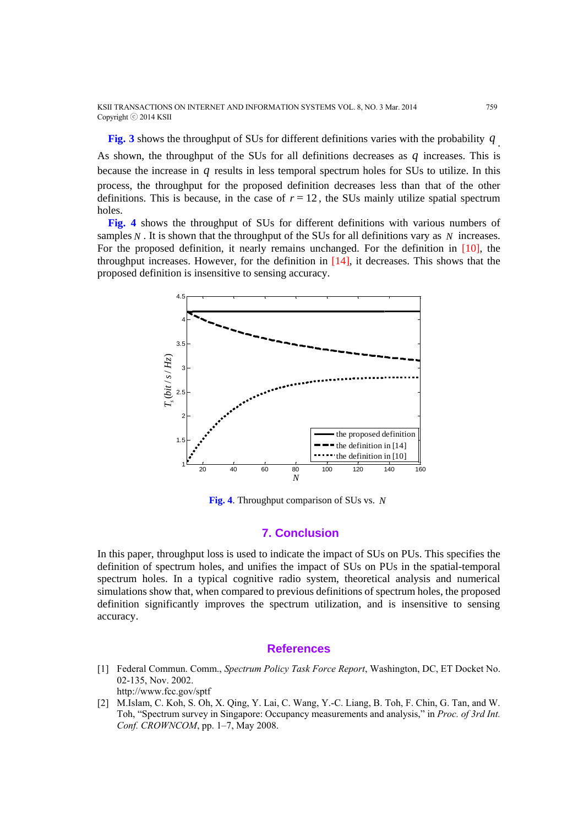**Fig. 3** shows the throughput of SUs for different definitions varies with the probability *q* .

As shown, the throughput of the SUs for all definitions decreases as  $q$  increases. This is because the increase in q results in less temporal spectrum holes for SUs to utilize. In this process, the throughput for the proposed definition decreases less than that of the other definitions. This is because, in the case of  $r = 12$ , the SUs mainly utilize spatial spectrum holes.

**Fig. 4** shows the throughput of SUs for different definitions with various numbers of samples  $N$ . It is shown that the throughput of the SUs for all definitions vary as  $N$  increases. For the proposed definition, it nearly remains unchanged. For the definition in [10], the throughput increases. However, for the definition in  $[14]$ , it decreases. This shows that the proposed definition is insensitive to sensing accuracy.



**Fig. 4**. Throughput comparison of SUs vs. *N*

# **7. Conclusion**

In this paper, throughput loss is used to indicate the impact of SUs on PUs. This specifies the definition of spectrum holes, and unifies the impact of SUs on PUs in the spatial-temporal spectrum holes. In a typical cognitive radio system, theoretical analysis and numerical simulations show that, when compared to previous definitions of spectrum holes, the proposed definition significantly improves the spectrum utilization, and is insensitive to sensing accuracy.

# **References**

- [1] Federal Commun. Comm., *Spectrum Policy Task Force Report*, Washington, DC, ET Docket No. 02-135, Nov. 2002. http://www.fcc.gov/sptf
- [2] M.Islam, C. Koh, S. Oh, X. Qing, Y. Lai, C. Wang, Y.-C. Liang, B. Toh, F. Chin, G. Tan, and W. Toh, "Spectrum survey in Singapore: Occupancy measurements and analysis," in *Proc. of 3rd Int. Conf. CROWNCOM*, pp. 1–7, May 2008.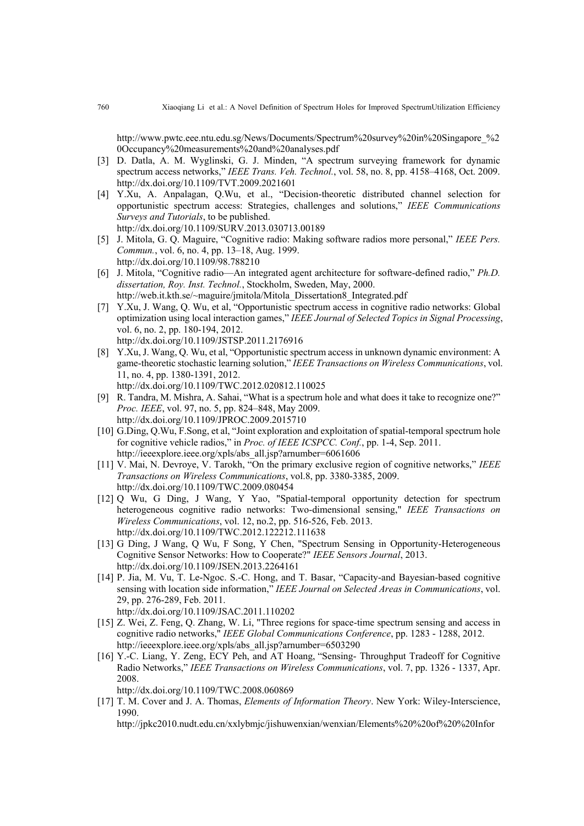http://www.pwtc.eee.ntu.edu.sg/News/Documents/Spectrum%20survey%20in%20Singapore\_%2 0Occupancy%20measurements%20and%20analyses.pdf

- [3] D. Datla, A. M. Wyglinski, G. J. Minden, "A spectrum surveying framework for dynamic spectrum access networks," *IEEE Trans. Veh. Technol.*, vol. 58, no. 8, pp. 4158–4168, Oct. 2009. <http://dx.doi.org/10.1109/TVT.2009.2021601>
- [4] Y.Xu, A. Anpalagan, Q.Wu, et al., "Decision-theoretic distributed channel selection for opportunistic spectrum access: Strategies, challenges and solutions," *IEEE Communications Surveys and Tutorials*, to be published. <http://dx.doi.org/10.1109/SURV.2013.030713.00189>
- [5] J. Mitola, G. Q. Maguire, "Cognitive radio: Making software radios more personal," *IEEE Pers. Commun.*, vol. 6, no. 4, pp. 13–18, Aug. 1999. <http://dx.doi.org/10.1109/98.788210>
- [6] J. Mitola, "Cognitive radio—An integrated agent architecture for software-defined radio," *Ph.D. dissertation, Roy. Inst. Technol.*, Stockholm, Sweden, May, 2000. http://web.it.kth.se/~maguire/jmitola/Mitola\_Dissertation8\_Integrated.pdf
- [7] Y.Xu, J. Wang, Q. Wu, et al, "Opportunistic spectrum access in cognitive radio networks: Global optimization using local interaction games," *IEEE Journal of Selected Topics in Signal Processing*, vol. 6, no. 2, pp. 180-194, 2012. <http://dx.doi.org/10.1109/JSTSP.2011.2176916>
- [8] Y.Xu, J. Wang, Q. Wu, et al, "Opportunistic spectrum access in unknown dynamic environment: A game-theoretic stochastic learning solution," *IEEE Transactions on Wireless Communications*, vol. 11, no. 4, pp. 1380-1391, 2012.
	- <http://dx.doi.org/10.1109/TWC.2012.020812.110025>
- [9] R. Tandra, M. Mishra, A. Sahai, "What is a spectrum hole and what does it take to recognize one?" *Proc. IEEE*, vol. 97, no. 5, pp. 824–848, May 2009. <http://dx.doi.org/10.1109/JPROC.2009.2015710>
- [10] G.Ding, Q.Wu, F.Song, et al, "Joint exploration and exploitation of spatial-temporal spectrum hole for cognitive vehicle radios," in *Proc. of IEEE ICSPCC. Conf.*, pp. 1-4, Sep. 2011. http://ieeexplore.ieee.org/xpls/abs\_all.jsp?arnumber=6061606
- [11] V. Mai, N. Devroye, V. Tarokh, "On the primary exclusive region of cognitive networks," *IEEE Transactions on Wireless Communications*, vol.8, pp. 3380-3385, 2009. <http://dx.doi.org/10.1109/TWC.2009.080454>
- [12] Q Wu, G Ding, J Wang, Y Yao, ["Spatial-temporal opportunity detection for spectrum](https://ieeexplore.ieee.org/xpl/articleDetails.jsp?tp=&arnumber=6409508&contentType=Early+Access+Articles&sortType%3Dasc_p_Sequence%26filter%3DAND(p_IS_Number%3A4656680)%26rowsPerPage%3D75) [heterogeneous cognitive radio networks: Two-dimensional sensing,"](https://ieeexplore.ieee.org/xpl/articleDetails.jsp?tp=&arnumber=6409508&contentType=Early+Access+Articles&sortType%3Dasc_p_Sequence%26filter%3DAND(p_IS_Number%3A4656680)%26rowsPerPage%3D75) *IEEE Transactions on Wireless Communications*, vol. 12, no.2, pp. 516-526, Feb. 2013. <http://dx.doi.org/10.1109/TWC.2012.122212.111638>
- [13] G Ding, J Wang, Q Wu, F Song, Y Chen, "Spectrum Sensing in Opportunity-Heterogeneous Cognitive Sensor Networks: How to Cooperate?" *IEEE Sensors Journal*, 2013. <http://dx.doi.org/10.1109/JSEN.2013.2264161>
- [14] P. Jia, M. Vu, T. Le-Ngoc. S.-C. Hong, and T. Basar, "Capacity-and Bayesian-based cognitive sensing with location side information," *IEEE Journal on Selected Areas in Communications*, vol. 29, pp. 276-289, Feb. 2011.
	- <http://dx.doi.org/10.1109/JSAC.2011.110202>
- [15] Z. Wei, Z. Feng, Q. Zhang, W. Li, "Three regions for space-time spectrum sensing and access in cognitive radio networks," *IEEE Global Communications Conference*, pp. 1283 - 1288, 2012. http://ieeexplore.ieee.org/xpls/abs\_all.jsp?arnumber=6503290
- [16] Y.-C. Liang, Y. Zeng, ECY Peh, and AT Hoang, "Sensing- Throughput Tradeoff for Cognitive Radio Networks," *IEEE Transactions on Wireless Communications*, vol. 7, pp. 1326 - 1337, Apr. 2008.

<http://dx.doi.org/10.1109/TWC.2008.060869>

[17] T. M. Cover and J. A. Thomas, *Elements of Information Theory*. New York: Wiley-Interscience, 1990.

[http://jpkc2010.nudt.edu.cn/xxlybmjc/jishuwenxian/wenxian/Elements%20%20of%20%20Infor](http://jpkc2010.nudt.edu.cn/xxlybmjc/jishuwenxian/wenxian/Elements%20%20of%20%20Information.PDF)